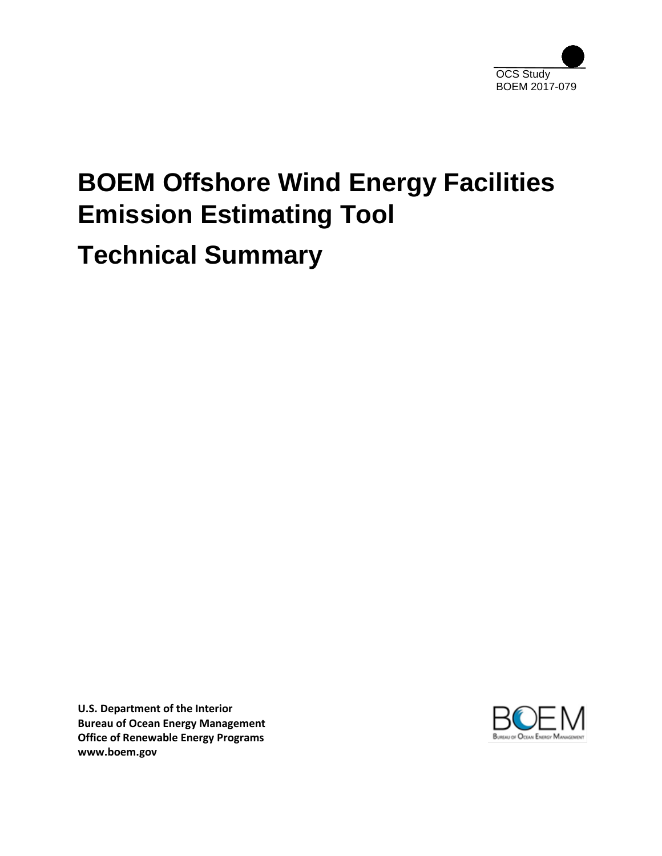

# **BOEM Offshore Wind Energy Facilities Emission Estimating Tool Technical Summary**

**U.S. Department of the Interior Bureau of Ocean Energy Management Office of Renewable Energy Programs www.boem.gov**

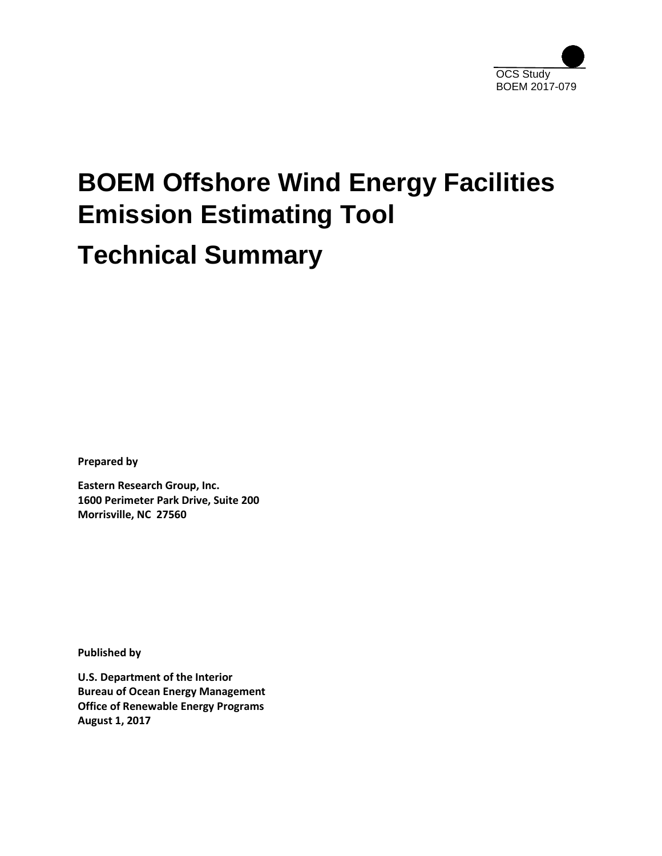

# **BOEM Offshore Wind Energy Facilities Emission Estimating Tool Technical Summary**

**Prepared by**

**Eastern Research Group, Inc. 1600 Perimeter Park Drive, Suite 200 Morrisville, NC 27560**

**Published by**

**U.S. Department of the Interior Bureau of Ocean Energy Management Office of Renewable Energy Programs August 1, 2017**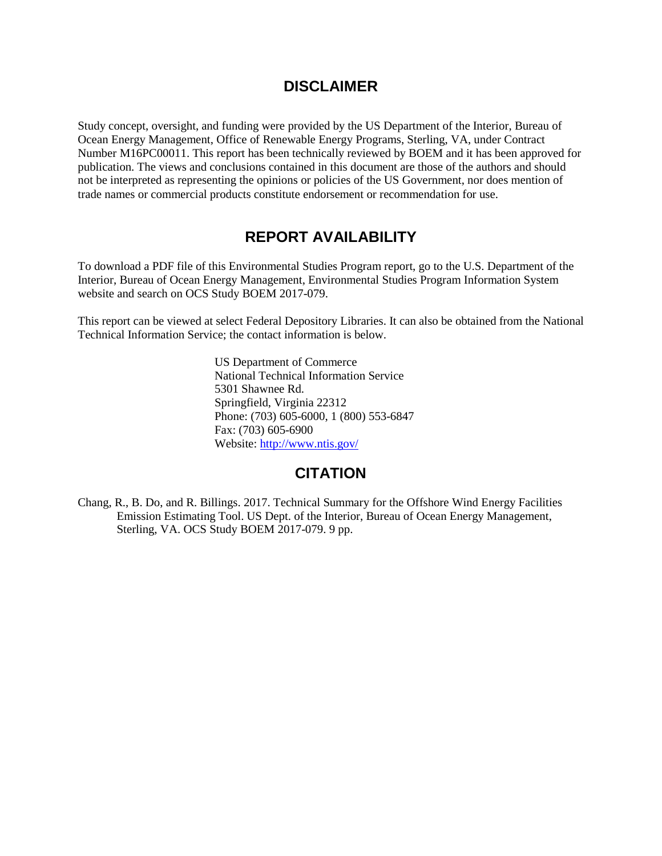# **DISCLAIMER**

Study concept, oversight, and funding were provided by the US Department of the Interior, Bureau of Ocean Energy Management, Office of Renewable Energy Programs, Sterling, VA, under Contract Number M16PC00011. This report has been technically reviewed by BOEM and it has been approved for publication. The views and conclusions contained in this document are those of the authors and should not be interpreted as representing the opinions or policies of the US Government, nor does mention of trade names or commercial products constitute endorsement or recommendation for use.

# **REPORT AVAILABILITY**

To download a PDF file of this Environmental Studies Program report, go to the U.S. Department of the Interior, Bureau of Ocean Energy Management, Environmental Studies Program Information System website and search on OCS Study BOEM 2017-079.

This report can be viewed at select Federal Depository Libraries. It can also be obtained from the National Technical Information Service; the contact information is below.

> US Department of Commerce National Technical Information Service 5301 Shawnee Rd. Springfield, Virginia 22312 Phone: (703) 605-6000, 1 (800) 553-6847 Fax: (703) 605-6900 Website:<http://www.ntis.gov/>

## **CITATION**

Chang, R., B. Do, and R. Billings. 2017. Technical Summary for the Offshore Wind Energy Facilities Emission Estimating Tool. US Dept. of the Interior, Bureau of Ocean Energy Management, Sterling, VA. OCS Study BOEM 2017-079. 9 pp.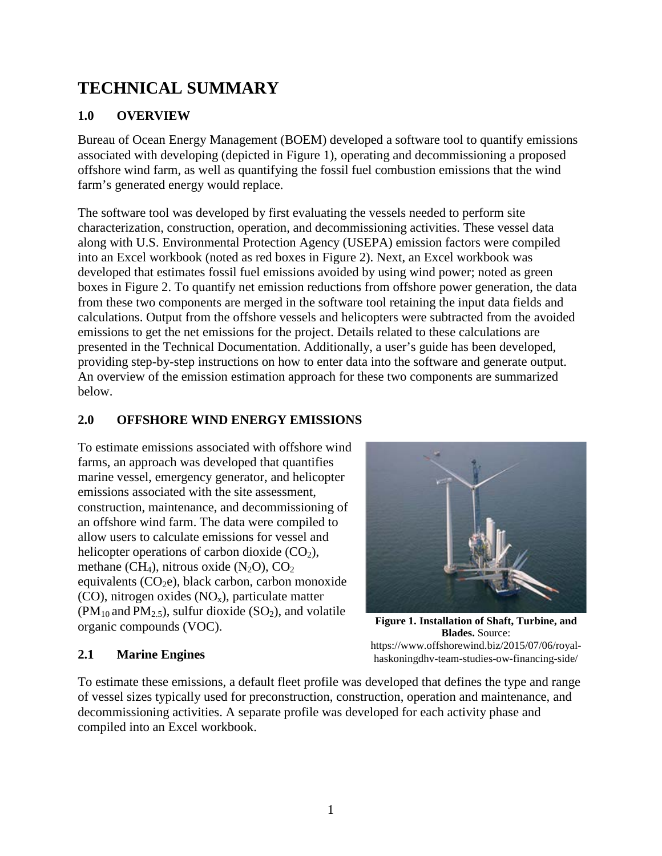# **TECHNICAL SUMMARY**

## **1.0 OVERVIEW**

Bureau of Ocean Energy Management (BOEM) developed a software tool to quantify emissions associated with developing (depicted in Figure 1), operating and decommissioning a proposed offshore wind farm, as well as quantifying the fossil fuel combustion emissions that the wind farm's generated energy would replace.

The software tool was developed by first evaluating the vessels needed to perform site characterization, construction, operation, and decommissioning activities. These vessel data along with U.S. Environmental Protection Agency (USEPA) emission factors were compiled into an Excel workbook (noted as red boxes in Figure 2). Next, an Excel workbook was developed that estimates fossil fuel emissions avoided by using wind power; noted as green boxes in Figure 2. To quantify net emission reductions from offshore power generation, the data from these two components are merged in the software tool retaining the input data fields and calculations. Output from the offshore vessels and helicopters were subtracted from the avoided emissions to get the net emissions for the project. Details related to these calculations are presented in the Technical Documentation. Additionally, a user's guide has been developed, providing step-by-step instructions on how to enter data into the software and generate output. An overview of the emission estimation approach for these two components are summarized below.

### **2.0 OFFSHORE WIND ENERGY EMISSIONS**

To estimate emissions associated with offshore wind farms, an approach was developed that quantifies marine vessel, emergency generator, and helicopter emissions associated with the site assessment, construction, maintenance, and decommissioning of an offshore wind farm. The data were compiled to allow users to calculate emissions for vessel and helicopter operations of carbon dioxide  $(CO<sub>2</sub>)$ , methane (CH<sub>4</sub>), nitrous oxide (N<sub>2</sub>O), CO<sub>2</sub> equivalents  $(CO<sub>2</sub>e)$ , black carbon, carbon monoxide (CO), nitrogen oxides  $(NO_x)$ , particulate matter  $(PM_{10}$  and  $PM_{2.5}$ ), sulfur dioxide  $(SO_2)$ , and volatile organic compounds (VOC).



**Figure 1. Installation of Shaft, Turbine, and Blades.** Source: https://www.offshorewind.biz/2015/07/06/royalhaskoningdhv-team-studies-ow-financing-side/

#### **2.1 Marine Engines**

To estimate these emissions, a default fleet profile was developed that defines the type and range of vessel sizes typically used for preconstruction, construction, operation and maintenance, and decommissioning activities. A separate profile was developed for each activity phase and compiled into an Excel workbook.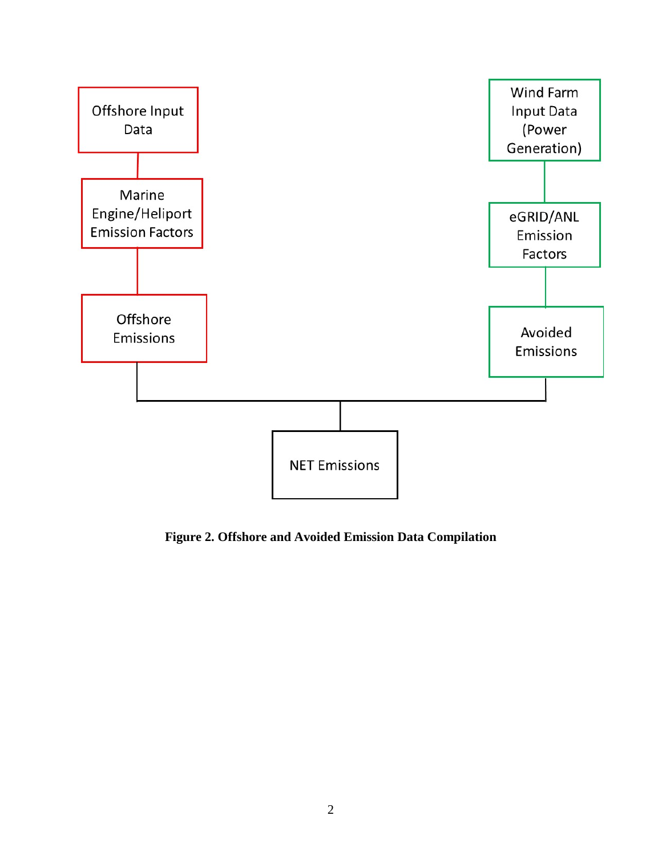

**Figure 2. Offshore and Avoided Emission Data Compilation**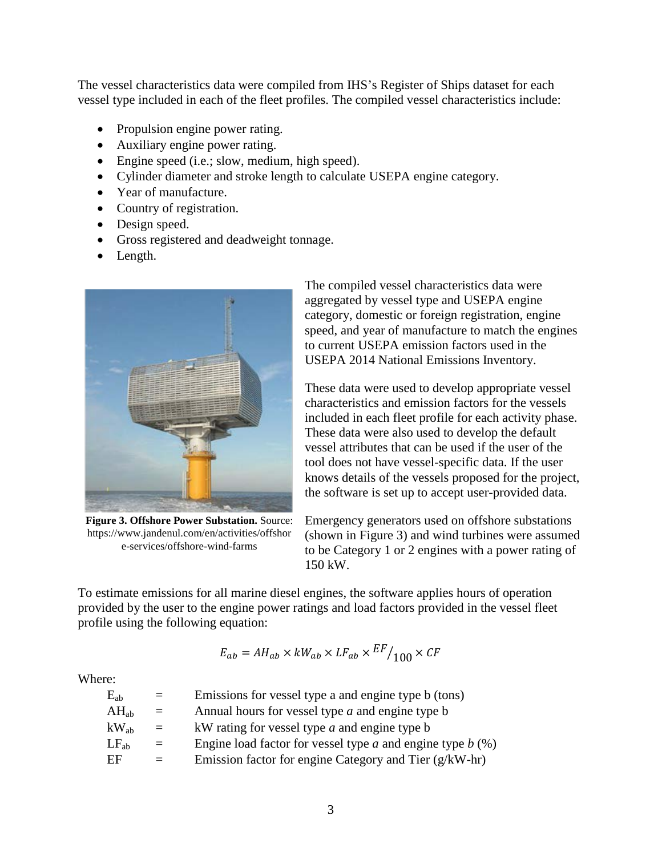The vessel characteristics data were compiled from IHS's Register of Ships dataset for each vessel type included in each of the fleet profiles. The compiled vessel characteristics include:

- Propulsion engine power rating.
- Auxiliary engine power rating.
- Engine speed (i.e.; slow, medium, high speed).
- Cylinder diameter and stroke length to calculate USEPA engine category.
- Year of manufacture.
- Country of registration.
- Design speed.
- Gross registered and deadweight tonnage.
- Length.



**Figure 3. Offshore Power Substation.** Source: https://www.jandenul.com/en/activities/offshor e-services/offshore-wind-farms

The compiled vessel characteristics data were aggregated by vessel type and USEPA engine category, domestic or foreign registration, engine speed, and year of manufacture to match the engines to current USEPA emission factors used in the USEPA 2014 National Emissions Inventory.

These data were used to develop appropriate vessel characteristics and emission factors for the vessels included in each fleet profile for each activity phase. These data were also used to develop the default vessel attributes that can be used if the user of the tool does not have vessel-specific data. If the user knows details of the vessels proposed for the project, the software is set up to accept user-provided data.

Emergency generators used on offshore substations (shown in Figure 3) and wind turbines were assumed to be Category 1 or 2 engines with a power rating of 150 kW.

To estimate emissions for all marine diesel engines, the software applies hours of operation provided by the user to the engine power ratings and load factors provided in the vessel fleet profile using the following equation:

$$
E_{ab} = AH_{ab} \times kW_{ab} \times LF_{ab} \times \frac{EF}{100} \times CF
$$

Where:

| $\mathrm{E_{ab}}$           | $=$ | Emissions for vessel type a and engine type b (tons)           |
|-----------------------------|-----|----------------------------------------------------------------|
| $AH_{ab}$                   | $=$ | Annual hours for vessel type $a$ and engine type $b$           |
| $\mathrm{kW}_{\mathrm{ab}}$ | $=$ | kW rating for vessel type $a$ and engine type $b$              |
| $LF_{ab}$                   | $=$ | Engine load factor for vessel type $a$ and engine type $b$ (%) |
| ЕF                          |     | Emission factor for engine Category and Tier $(g/kW-hr)$       |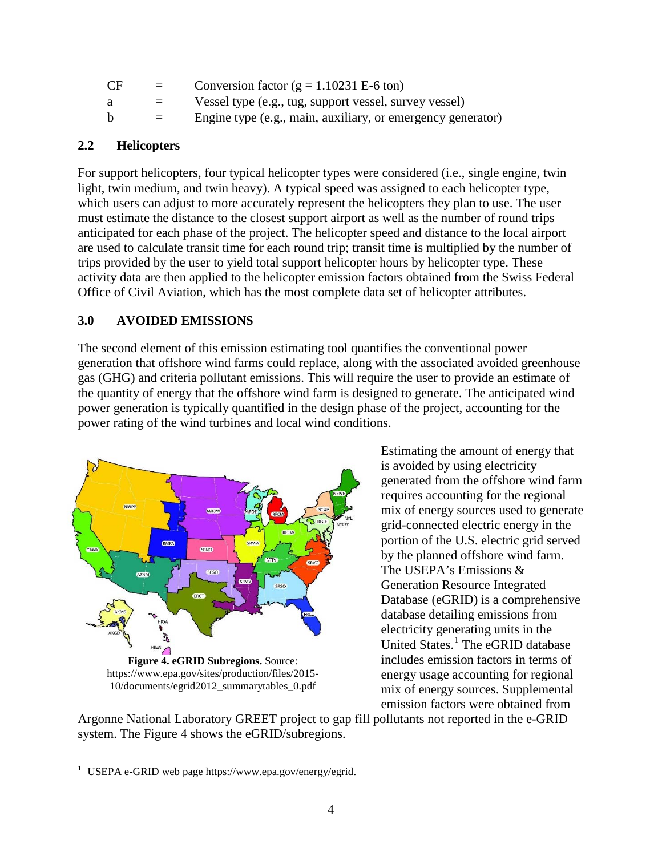| CF | $=$      | Conversion factor ( $g = 1.10231$ E-6 ton)                  |
|----|----------|-------------------------------------------------------------|
| а  |          | Vessel type (e.g., tug, support vessel, survey vessel)      |
| b. | $\equiv$ | Engine type (e.g., main, auxiliary, or emergency generator) |

#### **2.2 Helicopters**

For support helicopters, four typical helicopter types were considered (i.e., single engine, twin light, twin medium, and twin heavy). A typical speed was assigned to each helicopter type, which users can adjust to more accurately represent the helicopters they plan to use. The user must estimate the distance to the closest support airport as well as the number of round trips anticipated for each phase of the project. The helicopter speed and distance to the local airport are used to calculate transit time for each round trip; transit time is multiplied by the number of trips provided by the user to yield total support helicopter hours by helicopter type. These activity data are then applied to the helicopter emission factors obtained from the Swiss Federal Office of Civil Aviation, which has the most complete data set of helicopter attributes.

#### **3.0 AVOIDED EMISSIONS**

The second element of this emission estimating tool quantifies the conventional power generation that offshore wind farms could replace, along with the associated avoided greenhouse gas (GHG) and criteria pollutant emissions. This will require the user to provide an estimate of the quantity of energy that the offshore wind farm is designed to generate. The anticipated wind power generation is typically quantified in the design phase of the project, accounting for the power rating of the wind turbines and local wind conditions.



Estimating the amount of energy that is avoided by using electricity generated from the offshore wind farm requires accounting for the regional mix of energy sources used to generate grid-connected electric energy in the portion of the U.S. electric grid served by the planned offshore wind farm. The USEPA's Emissions & Generation Resource Integrated Database (eGRID) is a comprehensive database detailing emissions from electricity generating units in the United States. [1](#page-6-0) The eGRID database includes emission factors in terms of energy usage accounting for regional mix of energy sources. Supplemental emission factors were obtained from

Argonne National Laboratory GREET project to gap fill pollutants not reported in the e-GRID system. The Figure 4 shows the eGRID/subregions.

<span id="page-6-0"></span><sup>&</sup>lt;sup>1</sup> USEPA e-GRID web page https://www.epa.gov/energy/egrid.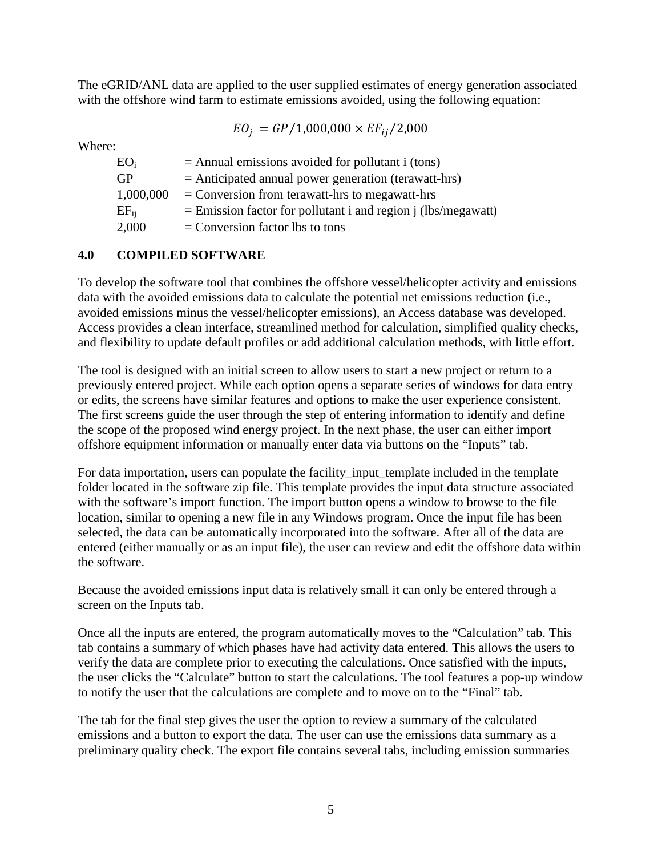The eGRID/ANL data are applied to the user supplied estimates of energy generation associated with the offshore wind farm to estimate emissions avoided, using the following equation:

$$
EO_j = GP/1,\!000,\!000 \times EF_{ij}/2,\!000
$$

Where:

| $EO_i$    | $=$ Annual emissions avoided for pollutant i (tons)             |
|-----------|-----------------------------------------------------------------|
| <b>GP</b> | $=$ Anticipated annual power generation (terawatt-hrs)          |
| 1,000,000 | $=$ Conversion from terawatt-hrs to megawatt-hrs                |
| $EF_{ii}$ | $=$ Emission factor for pollutant i and region j (lbs/megawatt) |
| 2,000     | $=$ Conversion factor lbs to tons                               |
|           |                                                                 |

#### **4.0 COMPILED SOFTWARE**

To develop the software tool that combines the offshore vessel/helicopter activity and emissions data with the avoided emissions data to calculate the potential net emissions reduction (i.e., avoided emissions minus the vessel/helicopter emissions), an Access database was developed. Access provides a clean interface, streamlined method for calculation, simplified quality checks, and flexibility to update default profiles or add additional calculation methods, with little effort.

The tool is designed with an initial screen to allow users to start a new project or return to a previously entered project. While each option opens a separate series of windows for data entry or edits, the screens have similar features and options to make the user experience consistent. The first screens guide the user through the step of entering information to identify and define the scope of the proposed wind energy project. In the next phase, the user can either import offshore equipment information or manually enter data via buttons on the "Inputs" tab.

For data importation, users can populate the facility\_input\_template included in the template folder located in the software zip file. This template provides the input data structure associated with the software's import function. The import button opens a window to browse to the file location, similar to opening a new file in any Windows program. Once the input file has been selected, the data can be automatically incorporated into the software. After all of the data are entered (either manually or as an input file), the user can review and edit the offshore data within the software.

Because the avoided emissions input data is relatively small it can only be entered through a screen on the Inputs tab.

Once all the inputs are entered, the program automatically moves to the "Calculation" tab. This tab contains a summary of which phases have had activity data entered. This allows the users to verify the data are complete prior to executing the calculations. Once satisfied with the inputs, the user clicks the "Calculate" button to start the calculations. The tool features a pop-up window to notify the user that the calculations are complete and to move on to the "Final" tab.

The tab for the final step gives the user the option to review a summary of the calculated emissions and a button to export the data. The user can use the emissions data summary as a preliminary quality check. The export file contains several tabs, including emission summaries